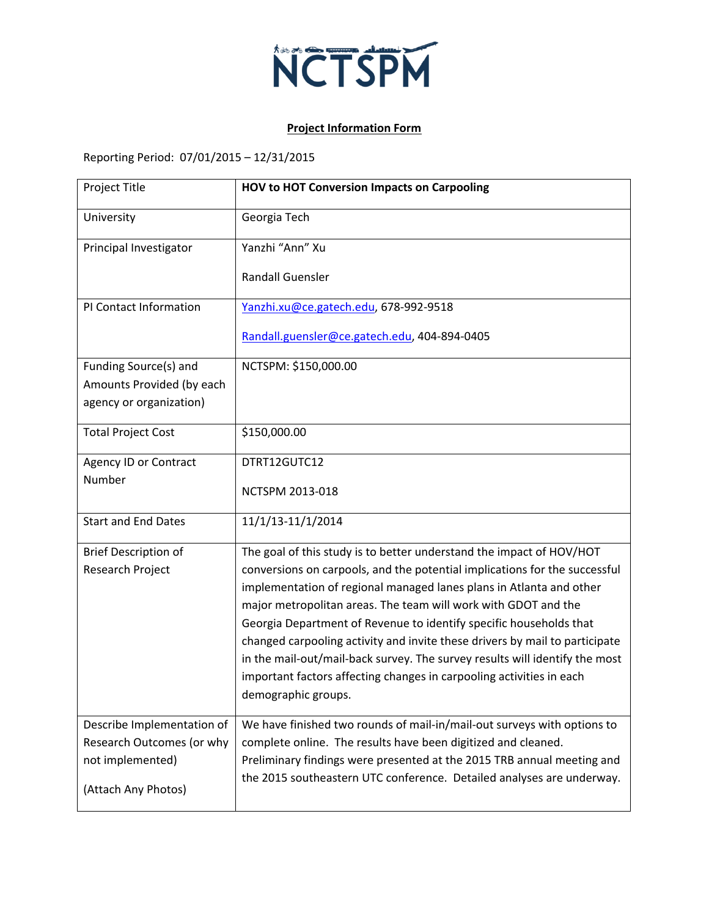

## **Project Information Form**

Reporting Period: 07/01/2015 – 12/31/2015

| Project Title                                      | <b>HOV to HOT Conversion Impacts on Carpooling</b>                                                                                                 |
|----------------------------------------------------|----------------------------------------------------------------------------------------------------------------------------------------------------|
| University                                         | Georgia Tech                                                                                                                                       |
| Principal Investigator                             | Yanzhi "Ann" Xu                                                                                                                                    |
|                                                    | <b>Randall Guensler</b>                                                                                                                            |
| PI Contact Information                             | Yanzhi.xu@ce.gatech.edu, 678-992-9518                                                                                                              |
|                                                    | Randall.guensler@ce.gatech.edu, 404-894-0405                                                                                                       |
| Funding Source(s) and<br>Amounts Provided (by each | NCTSPM: \$150,000.00                                                                                                                               |
| agency or organization)                            |                                                                                                                                                    |
| <b>Total Project Cost</b>                          | \$150,000.00                                                                                                                                       |
| <b>Agency ID or Contract</b>                       | DTRT12GUTC12                                                                                                                                       |
| Number                                             | NCTSPM 2013-018                                                                                                                                    |
| <b>Start and End Dates</b>                         | 11/1/13-11/1/2014                                                                                                                                  |
| <b>Brief Description of</b><br>Research Project    | The goal of this study is to better understand the impact of HOV/HOT<br>conversions on carpools, and the potential implications for the successful |
|                                                    | implementation of regional managed lanes plans in Atlanta and other                                                                                |
|                                                    | major metropolitan areas. The team will work with GDOT and the                                                                                     |
|                                                    | Georgia Department of Revenue to identify specific households that<br>changed carpooling activity and invite these drivers by mail to participate  |
|                                                    | in the mail-out/mail-back survey. The survey results will identify the most                                                                        |
|                                                    | important factors affecting changes in carpooling activities in each                                                                               |
|                                                    | demographic groups.                                                                                                                                |
| Describe Implementation of                         | We have finished two rounds of mail-in/mail-out surveys with options to                                                                            |
| Research Outcomes (or why<br>not implemented)      | complete online. The results have been digitized and cleaned.<br>Preliminary findings were presented at the 2015 TRB annual meeting and            |
| (Attach Any Photos)                                | the 2015 southeastern UTC conference. Detailed analyses are underway.                                                                              |